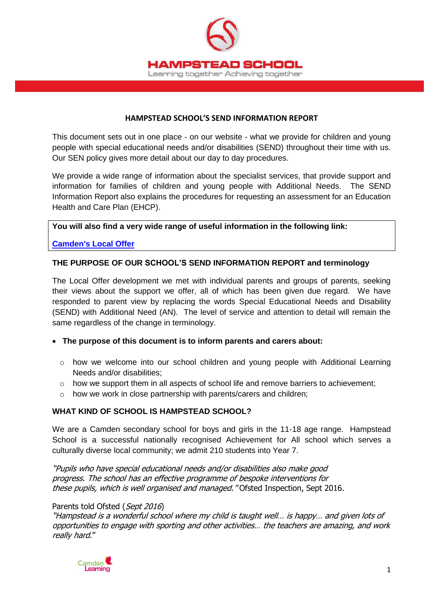

#### **HAMPSTEAD SCHOOL'S SEND INFORMATION REPORT**

This document sets out in one place - on our website - what we provide for children and young people with special educational needs and/or disabilities (SEND) throughout their time with us. Our SEN policy gives more detail about our day to day procedures.

We provide a wide range of information about the specialist services, that provide support and information for families of children and young people with Additional Needs. The SEND Information Report also explains the procedures for requesting an assessment for an Education Health and Care Plan (EHCP).

#### **You will also find a very wide range of useful information in the following link:**

#### **[Camden's Local Offer](http://www.localoffer.camden.gov.uk/)**

#### **THE PURPOSE OF OUR SCHOOL'S SEND INFORMATION REPORT and terminology**

The Local Offer development we met with individual parents and groups of parents, seeking their views about the support we offer, all of which has been given due regard. We have responded to parent view by replacing the words Special Educational Needs and Disability (SEND) with Additional Need (AN). The level of service and attention to detail will remain the same regardless of the change in terminology.

- **The purpose of this document is to inform parents and carers about:**
	- $\circ$  how we welcome into our school children and young people with Additional Learning Needs and/or disabilities;
	- $\circ$  how we support them in all aspects of school life and remove barriers to achievement;
	- o how we work in close partnership with parents/carers and children;

#### **WHAT KIND OF SCHOOL IS HAMPSTEAD SCHOOL?**

We are a Camden secondary school for boys and girls in the 11-18 age range. Hampstead School is a successful nationally recognised Achievement for All school which serves a culturally diverse local community; we admit 210 students into Year 7.

"Pupils who have special educational needs and/or disabilities also make good progress. The school has an effective programme of bespoke interventions for these pupils, which is well organised and managed." Ofsted Inspection, Sept 2016.

#### Parents told Ofsted (Sept 2016)

"Hampstead is a wonderful school where my child is taught well… is happy… and given lots of opportunities to engage with sporting and other activities… the teachers are amazing, and work really hard."

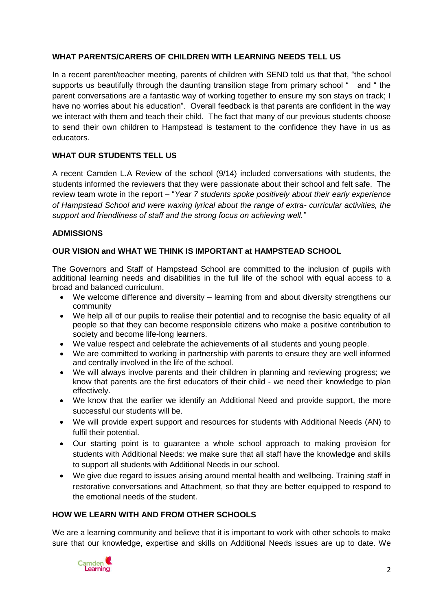#### **WHAT PARENTS/CARERS OF CHILDREN WITH LEARNING NEEDS TELL US**

In a recent parent/teacher meeting, parents of children with SEND told us that that, "the school supports us beautifully through the daunting transition stage from primary school " and " the parent conversations are a fantastic way of working together to ensure my son stays on track; I have no worries about his education". Overall feedback is that parents are confident in the way we interact with them and teach their child. The fact that many of our previous students choose to send their own children to Hampstead is testament to the confidence they have in us as educators.

## **WHAT OUR STUDENTS TELL US**

A recent Camden L.A Review of the school (9/14) included conversations with students, the students informed the reviewers that they were passionate about their school and felt safe. The review team wrote in the report – "*Year 7 students spoke positively about their early experience of Hampstead School and were waxing lyrical about the range of extra- curricular activities, the support and friendliness of staff and the strong focus on achieving well."*

#### **ADMISSIONS**

#### **OUR VISION and WHAT WE THINK IS IMPORTANT at HAMPSTEAD SCHOOL**

The Governors and Staff of Hampstead School are committed to the inclusion of pupils with additional learning needs and disabilities in the full life of the school with equal access to a broad and balanced curriculum.

- We welcome difference and diversity learning from and about diversity strengthens our community
- We help all of our pupils to realise their potential and to recognise the basic equality of all people so that they can become responsible citizens who make a positive contribution to society and become life-long learners.
- We value respect and celebrate the achievements of all students and young people.
- We are committed to working in partnership with parents to ensure they are well informed and centrally involved in the life of the school.
- We will always involve parents and their children in planning and reviewing progress; we know that parents are the first educators of their child - we need their knowledge to plan effectively.
- We know that the earlier we identify an Additional Need and provide support, the more successful our students will be.
- We will provide expert support and resources for students with Additional Needs (AN) to fulfil their potential.
- Our starting point is to guarantee a whole school approach to making provision for students with Additional Needs: we make sure that all staff have the knowledge and skills to support all students with Additional Needs in our school.
- We give due regard to issues arising around mental health and wellbeing. Training staff in restorative conversations and Attachment, so that they are better equipped to respond to the emotional needs of the student.

## **HOW WE LEARN WITH AND FROM OTHER SCHOOLS**

We are a learning community and believe that it is important to work with other schools to make sure that our knowledge, expertise and skills on Additional Needs issues are up to date. We

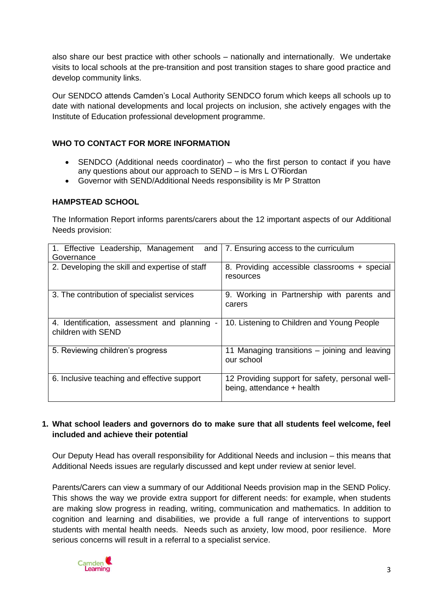also share our best practice with other schools – nationally and internationally. We undertake visits to local schools at the pre-transition and post transition stages to share good practice and develop community links.

Our SENDCO attends Camden's Local Authority SENDCO forum which keeps all schools up to date with national developments and local projects on inclusion, she actively engages with the Institute of Education professional development programme.

# **WHO TO CONTACT FOR MORE INFORMATION**

- SENDCO (Additional needs coordinator) who the first person to contact if you have any questions about our approach to SEND – is Mrs L O'Riordan
- Governor with SEND/Additional Needs responsibility is Mr P Stratton

## **HAMPSTEAD SCHOOL**

The Information Report informs parents/carers about the 12 important aspects of our Additional Needs provision:

| 1. Effective Leadership, Management<br>and<br>Governance         | 7. Ensuring access to the curriculum                                          |
|------------------------------------------------------------------|-------------------------------------------------------------------------------|
| 2. Developing the skill and expertise of staff                   | 8. Providing accessible classrooms + special<br>resources                     |
| 3. The contribution of specialist services                       | 9. Working in Partnership with parents and<br>carers                          |
| 4. Identification, assessment and planning<br>children with SEND | 10. Listening to Children and Young People                                    |
| 5. Reviewing children's progress                                 | 11 Managing transitions – joining and leaving<br>our school                   |
| 6. Inclusive teaching and effective support                      | 12 Providing support for safety, personal well-<br>being, attendance + health |

## **1. What school leaders and governors do to make sure that all students feel welcome, feel included and achieve their potential**

Our Deputy Head has overall responsibility for Additional Needs and inclusion – this means that Additional Needs issues are regularly discussed and kept under review at senior level.

Parents/Carers can view a summary of our Additional Needs provision map in the SEND Policy. This shows the way we provide extra support for different needs: for example, when students are making slow progress in reading, writing, communication and mathematics. In addition to cognition and learning and disabilities, we provide a full range of interventions to support students with mental health needs. Needs such as anxiety, low mood, poor resilience. More serious concerns will result in a referral to a specialist service.

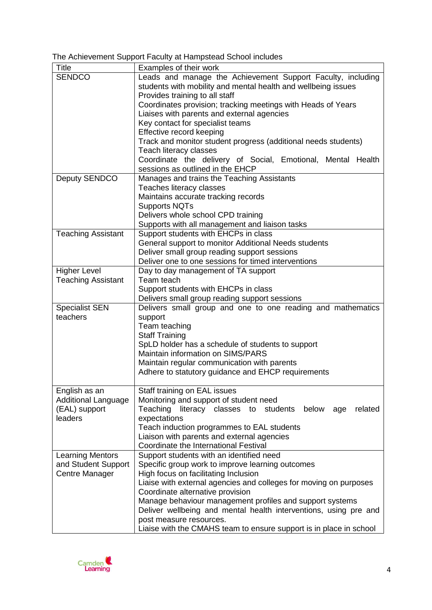The Achievement Support Faculty at Hampstead School includes

| <b>Title</b>               | Examples of their work                                                                        |
|----------------------------|-----------------------------------------------------------------------------------------------|
| <b>SENDCO</b>              | Leads and manage the Achievement Support Faculty, including                                   |
|                            | students with mobility and mental health and wellbeing issues                                 |
|                            | Provides training to all staff                                                                |
|                            | Coordinates provision; tracking meetings with Heads of Years                                  |
|                            | Liaises with parents and external agencies                                                    |
|                            | Key contact for specialist teams                                                              |
|                            | Effective record keeping                                                                      |
|                            | Track and monitor student progress (additional needs students)                                |
|                            | Teach literacy classes                                                                        |
|                            | Coordinate the delivery of Social, Emotional, Mental Health                                   |
|                            | sessions as outlined in the EHCP                                                              |
| Deputy SENDCO              | Manages and trains the Teaching Assistants                                                    |
|                            | Teaches literacy classes                                                                      |
|                            | Maintains accurate tracking records                                                           |
|                            | <b>Supports NQTs</b>                                                                          |
|                            | Delivers whole school CPD training                                                            |
|                            | Supports with all management and liaison tasks                                                |
| <b>Teaching Assistant</b>  | Support students with EHCPs in class                                                          |
|                            | General support to monitor Additional Needs students                                          |
|                            | Deliver small group reading support sessions                                                  |
| <b>Higher Level</b>        | Deliver one to one sessions for timed interventions                                           |
| <b>Teaching Assistant</b>  | Day to day management of TA support<br>Team teach                                             |
|                            | Support students with EHCPs in class                                                          |
|                            | Delivers small group reading support sessions                                                 |
| <b>Specialist SEN</b>      | Delivers small group and one to one reading and mathematics                                   |
| teachers                   | support                                                                                       |
|                            | Team teaching                                                                                 |
|                            | <b>Staff Training</b>                                                                         |
|                            | SpLD holder has a schedule of students to support                                             |
|                            | Maintain information on SIMS/PARS                                                             |
|                            | Maintain regular communication with parents                                                   |
|                            | Adhere to statutory guidance and EHCP requirements                                            |
|                            |                                                                                               |
| English as an              | Staff training on EAL issues                                                                  |
| <b>Additional Language</b> | Monitoring and support of student need                                                        |
| (EAL) support              | Teaching<br>literacy classes to<br>students<br>below<br>related<br>age                        |
| leaders                    | expectations                                                                                  |
|                            | Teach induction programmes to EAL students                                                    |
|                            | Liaison with parents and external agencies                                                    |
|                            | Coordinate the International Festival                                                         |
| <b>Learning Mentors</b>    | Support students with an identified need                                                      |
| and Student Support        | Specific group work to improve learning outcomes                                              |
| Centre Manager             | High focus on facilitating Inclusion                                                          |
|                            | Liaise with external agencies and colleges for moving on purposes                             |
|                            | Coordinate alternative provision                                                              |
|                            | Manage behaviour management profiles and support systems                                      |
|                            | Deliver wellbeing and mental health interventions, using pre and                              |
|                            | post measure resources.<br>Liaise with the CMAHS team to ensure support is in place in school |
|                            |                                                                                               |

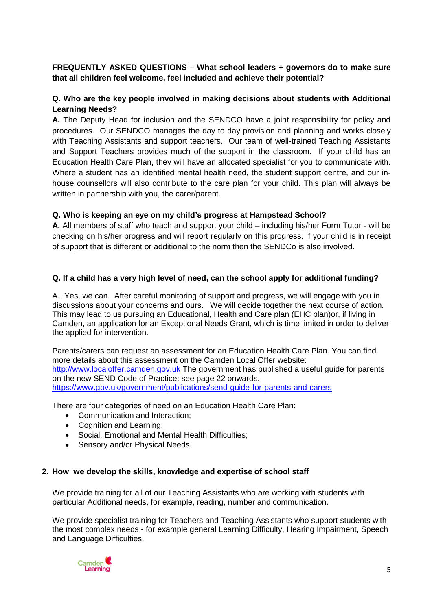## **FREQUENTLY ASKED QUESTIONS – What school leaders + governors do to make sure that all children feel welcome, feel included and achieve their potential?**

# **Q. Who are the key people involved in making decisions about students with Additional Learning Needs?**

**A.** The Deputy Head for inclusion and the SENDCO have a joint responsibility for policy and procedures. Our SENDCO manages the day to day provision and planning and works closely with Teaching Assistants and support teachers. Our team of well-trained Teaching Assistants and Support Teachers provides much of the support in the classroom. If your child has an Education Health Care Plan, they will have an allocated specialist for you to communicate with. Where a student has an identified mental health need, the student support centre, and our inhouse counsellors will also contribute to the care plan for your child. This plan will always be written in partnership with you, the carer/parent.

## **Q. Who is keeping an eye on my child's progress at Hampstead School?**

**A.** All members of staff who teach and support your child – including his/her Form Tutor - will be checking on his/her progress and will report regularly on this progress. If your child is in receipt of support that is different or additional to the norm then the SENDCo is also involved.

# **Q. If a child has a very high level of need, can the school apply for additional funding?**

A. Yes, we can. After careful monitoring of support and progress, we will engage with you in discussions about your concerns and ours. We will decide together the next course of action. This may lead to us pursuing an Educational, Health and Care plan (EHC plan)or, if living in Camden, an application for an Exceptional Needs Grant, which is time limited in order to deliver the applied for intervention.

Parents/carers can request an assessment for an Education Health Care Plan. You can find more details about this assessment on the Camden Local Offer website: [http://www.localoffer.camden.gov.uk](http://www.localoffer.camden.gov.uk/) The government has published a useful guide for parents on the new SEND Code of Practice: see page 22 onwards. <https://www.gov.uk/government/publications/send-guide-for-parents-and-carers>

There are four categories of need on an Education Health Care Plan:

- Communication and Interaction;
- Cognition and Learning;
- Social, Emotional and Mental Health Difficulties;
- Sensory and/or Physical Needs.

#### **2. How we develop the skills, knowledge and expertise of school staff**

We provide training for all of our Teaching Assistants who are working with students with particular Additional needs, for example, reading, number and communication.

We provide specialist training for Teachers and Teaching Assistants who support students with the most complex needs - for example general Learning Difficulty, Hearing Impairment, Speech and Language Difficulties.

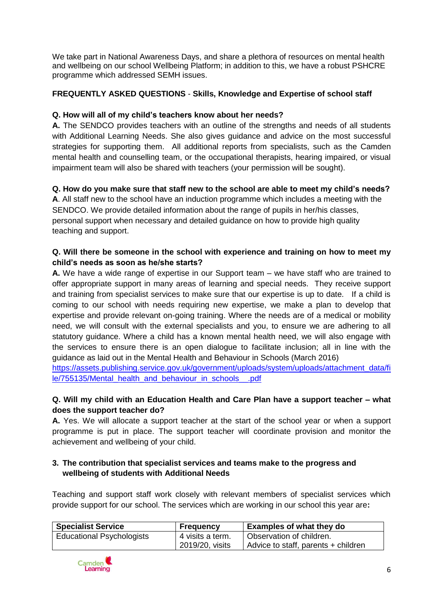We take part in National Awareness Days, and share a plethora of resources on mental health and wellbeing on our school Wellbeing Platform; in addition to this, we have a robust PSHCRE programme which addressed SEMH issues.

# **FREQUENTLY ASKED QUESTIONS** - **Skills, Knowledge and Expertise of school staff**

## **Q. How will all of my child's teachers know about her needs?**

**A.** The SENDCO provides teachers with an outline of the strengths and needs of all students with Additional Learning Needs. She also gives guidance and advice on the most successful strategies for supporting them. All additional reports from specialists, such as the Camden mental health and counselling team, or the occupational therapists, hearing impaired, or visual impairment team will also be shared with teachers (your permission will be sought).

# **Q. How do you make sure that staff new to the school are able to meet my child's needs?**

**A**. All staff new to the school have an induction programme which includes a meeting with the SENDCO. We provide detailed information about the range of pupils in her/his classes, personal support when necessary and detailed guidance on how to provide high quality teaching and support.

## **Q. Will there be someone in the school with experience and training on how to meet my child's needs as soon as he/she starts?**

**A.** We have a wide range of expertise in our Support team – we have staff who are trained to offer appropriate support in many areas of learning and special needs. They receive support and training from specialist services to make sure that our expertise is up to date. If a child is coming to our school with needs requiring new expertise, we make a plan to develop that expertise and provide relevant on-going training. Where the needs are of a medical or mobility need, we will consult with the external specialists and you, to ensure we are adhering to all statutory guidance. Where a child has a known mental health need, we will also engage with the services to ensure there is an open dialogue to facilitate inclusion; all in line with the guidance as laid out in the Mental Health and Behaviour in Schools (March 2016)

[https://assets.publishing.service.gov.uk/government/uploads/system/uploads/attachment\\_data/fi](https://assets.publishing.service.gov.uk/government/uploads/system/uploads/attachment_data/file/755135/Mental_health_and_behaviour_in_schools__.pdf) [le/755135/Mental\\_health\\_and\\_behaviour\\_in\\_schools\\_\\_.pdf](https://assets.publishing.service.gov.uk/government/uploads/system/uploads/attachment_data/file/755135/Mental_health_and_behaviour_in_schools__.pdf)

# **Q. Will my child with an Education Health and Care Plan have a support teacher – what does the support teacher do?**

**A.** Yes. We will allocate a support teacher at the start of the school year or when a support programme is put in place. The support teacher will coordinate provision and monitor the achievement and wellbeing of your child.

# **3. The contribution that specialist services and teams make to the progress and wellbeing of students with Additional Needs**

Teaching and support staff work closely with relevant members of specialist services which provide support for our school. The services which are working in our school this year are**:**

| <b>Specialist Service</b>        | <b>Frequency</b> | <b>Examples of what they do</b>     |
|----------------------------------|------------------|-------------------------------------|
| <b>Educational Psychologists</b> | 4 visits a term. | Observation of children.            |
|                                  | 2019/20, visits  | Advice to staff, parents + children |

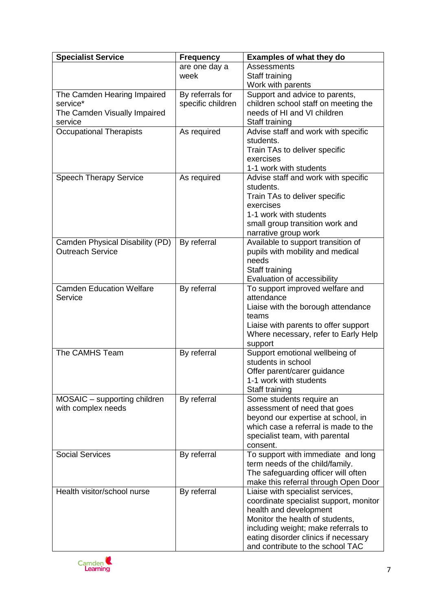| <b>Specialist Service</b>       | <b>Frequency</b>  | <b>Examples of what they do</b>           |
|---------------------------------|-------------------|-------------------------------------------|
|                                 | are one day a     | <b>Assessments</b>                        |
|                                 | week              | Staff training                            |
|                                 |                   | Work with parents                         |
| The Camden Hearing Impaired     | By referrals for  | Support and advice to parents,            |
| service*                        | specific children | children school staff on meeting the      |
| The Camden Visually Impaired    |                   | needs of HI and VI children               |
| service                         |                   | Staff training                            |
| <b>Occupational Therapists</b>  | As required       | Advise staff and work with specific       |
|                                 |                   | students.                                 |
|                                 |                   | Train TAs to deliver specific             |
|                                 |                   | exercises                                 |
|                                 |                   | 1-1 work with students                    |
| <b>Speech Therapy Service</b>   | As required       | Advise staff and work with specific       |
|                                 |                   | students.                                 |
|                                 |                   | Train TAs to deliver specific             |
|                                 |                   | exercises                                 |
|                                 |                   | 1-1 work with students                    |
|                                 |                   | small group transition work and           |
|                                 |                   | narrative group work                      |
| Camden Physical Disability (PD) | By referral       | Available to support transition of        |
| <b>Outreach Service</b>         |                   | pupils with mobility and medical          |
|                                 |                   | needs                                     |
|                                 |                   | Staff training                            |
|                                 |                   | Evaluation of accessibility               |
| <b>Camden Education Welfare</b> | By referral       | To support improved welfare and           |
| Service                         |                   | attendance                                |
|                                 |                   | Liaise with the borough attendance        |
|                                 |                   | teams                                     |
|                                 |                   | Liaise with parents to offer support      |
|                                 |                   | Where necessary, refer to Early Help      |
| The CAMHS Team                  | By referral       | support<br>Support emotional wellbeing of |
|                                 |                   | students in school                        |
|                                 |                   | Offer parent/carer guidance               |
|                                 |                   | 1-1 work with students                    |
|                                 |                   | Staff training                            |
| MOSAIC - supporting children    | By referral       | Some students require an                  |
| with complex needs              |                   | assessment of need that goes              |
|                                 |                   | beyond our expertise at school, in        |
|                                 |                   | which case a referral is made to the      |
|                                 |                   | specialist team, with parental            |
|                                 |                   | consent.                                  |
| <b>Social Services</b>          | By referral       | To support with immediate and long        |
|                                 |                   | term needs of the child/family.           |
|                                 |                   | The safeguarding officer will often       |
|                                 |                   | make this referral through Open Door      |
| Health visitor/school nurse     | By referral       | Liaise with specialist services,          |
|                                 |                   | coordinate specialist support, monitor    |
|                                 |                   | health and development                    |
|                                 |                   | Monitor the health of students,           |
|                                 |                   | including weight; make referrals to       |
|                                 |                   | eating disorder clinics if necessary      |
|                                 |                   | and contribute to the school TAC          |

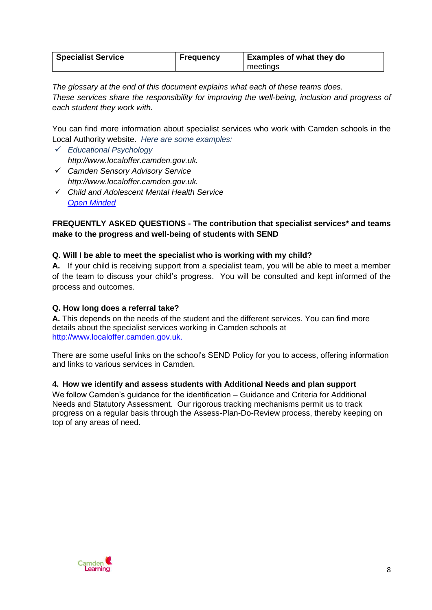| <b>Specialist Service</b> | <b>Frequency</b> | <b>Examples of what they do</b> |
|---------------------------|------------------|---------------------------------|
|                           |                  | meetings                        |

*The glossary at the end of this document explains what each of these teams does. These services share the responsibility for improving the well-being, inclusion and progress of each student they work with.* 

You can find more information about specialist services who work with Camden schools in the Local Authority website. *Here are some examples:*

- *Educational Psychology http://www.localoffer.camden.gov.uk.*
- *Camden Sensory Advisory Service http://www.localoffer.camden.gov.uk.*
- *Child and Adolescent Mental Health Service [Open Minded](https://tavistockandportman.nhs.uk/care-and-treatment/our-clinical-services/open-minded-camden-camhs/)*

## **FREQUENTLY ASKED QUESTIONS - The contribution that specialist services\* and teams make to the progress and well-being of students with SEND**

## **Q. Will I be able to meet the specialist who is working with my child?**

**A.** If your child is receiving support from a specialist team, you will be able to meet a member of the team to discuss your child's progress. You will be consulted and kept informed of the process and outcomes.

## **Q. How long does a referral take?**

**A.** This depends on the needs of the student and the different services. You can find more details about the specialist services working in Camden schools at [http://www.localoffer.camden.gov.uk.](http://www.localoffer.camden.gov.uk/)

There are some useful links on the school's SEND Policy for you to access, offering information and links to various services in Camden.

## **4. How we identify and assess students with Additional Needs and plan support**

We follow Camden's guidance for the identification – Guidance and Criteria for Additional Needs and Statutory Assessment. Our rigorous tracking mechanisms permit us to track progress on a regular basis through the Assess-Plan-Do-Review process, thereby keeping on top of any areas of need.

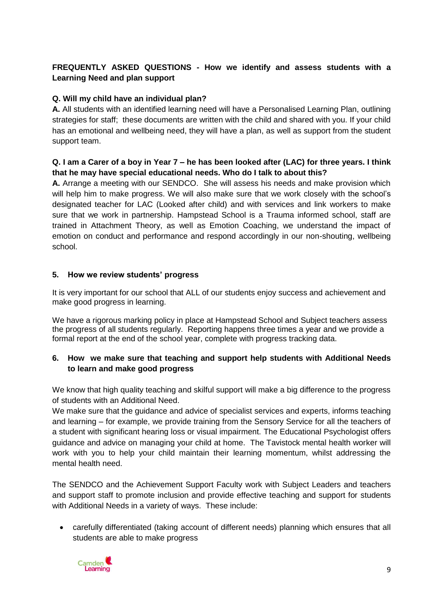# **FREQUENTLY ASKED QUESTIONS - How we identify and assess students with a Learning Need and plan support**

# **Q. Will my child have an individual plan?**

**A.** All students with an identified learning need will have a Personalised Learning Plan, outlining strategies for staff; these documents are written with the child and shared with you. If your child has an emotional and wellbeing need, they will have a plan, as well as support from the student support team.

## **Q. I am a Carer of a boy in Year 7 – he has been looked after (LAC) for three years. I think that he may have special educational needs. Who do I talk to about this?**

**A.** Arrange a meeting with our SENDCO. She will assess his needs and make provision which will help him to make progress. We will also make sure that we work closely with the school's designated teacher for LAC (Looked after child) and with services and link workers to make sure that we work in partnership. Hampstead School is a Trauma informed school, staff are trained in Attachment Theory, as well as Emotion Coaching, we understand the impact of emotion on conduct and performance and respond accordingly in our non-shouting, wellbeing school.

## **5. How we review students' progress**

It is very important for our school that ALL of our students enjoy success and achievement and make good progress in learning.

We have a rigorous marking policy in place at Hampstead School and Subject teachers assess the progress of all students regularly. Reporting happens three times a year and we provide a formal report at the end of the school year, complete with progress tracking data.

# **6. How we make sure that teaching and support help students with Additional Needs to learn and make good progress**

We know that high quality teaching and skilful support will make a big difference to the progress of students with an Additional Need.

We make sure that the guidance and advice of specialist services and experts, informs teaching and learning – for example, we provide training from the Sensory Service for all the teachers of a student with significant hearing loss or visual impairment. The Educational Psychologist offers guidance and advice on managing your child at home. The Tavistock mental health worker will work with you to help your child maintain their learning momentum, whilst addressing the mental health need.

The SENDCO and the Achievement Support Faculty work with Subject Leaders and teachers and support staff to promote inclusion and provide effective teaching and support for students with Additional Needs in a variety of ways. These include:

 carefully differentiated (taking account of different needs) planning which ensures that all students are able to make progress

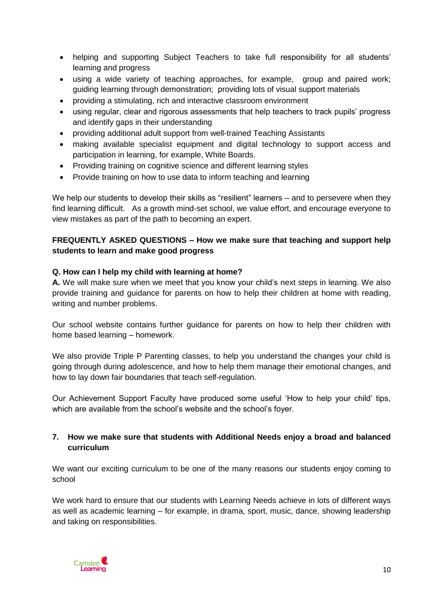- helping and supporting Subject Teachers to take full responsibility for all students' learning and progress
- using a wide variety of teaching approaches, for example, group and paired work; guiding learning through demonstration; providing lots of visual support materials
- providing a stimulating, rich and interactive classroom environment
- using regular, clear and rigorous assessments that help teachers to track pupils' progress and identify gaps in their understanding
- providing additional adult support from well-trained Teaching Assistants
- making available specialist equipment and digital technology to support access and participation in learning, for example, White Boards.
- Providing training on cognitive science and different learning styles
- Provide training on how to use data to inform teaching and learning

We help our students to develop their skills as "resilient" learners – and to persevere when they find learning difficult. As a growth mind-set school, we value effort, and encourage everyone to view mistakes as part of the path to becoming an expert.

## **FREQUENTLY ASKED QUESTIONS – How we make sure that teaching and support help students to learn and make good progress**

## **Q. How can I help my child with learning at home?**

**A.** We will make sure when we meet that you know your child's next steps in learning. We also provide training and guidance for parents on how to help their children at home with reading, writing and number problems.

Our school website contains further guidance for parents on how to help their children with home based learning – homework.

We also provide Triple P Parenting classes, to help you understand the changes your child is going through during adolescence, and how to help them manage their emotional changes, and how to lay down fair boundaries that teach self-regulation.

Our Achievement Support Faculty have produced some useful 'How to help your child' tips, which are available from the school's website and the school's foyer.

## **7. How we make sure that students with Additional Needs enjoy a broad and balanced curriculum**

We want our exciting curriculum to be one of the many reasons our students enjoy coming to school

We work hard to ensure that our students with Learning Needs achieve in lots of different ways as well as academic learning – for example, in drama, sport, music, dance, showing leadership and taking on responsibilities.

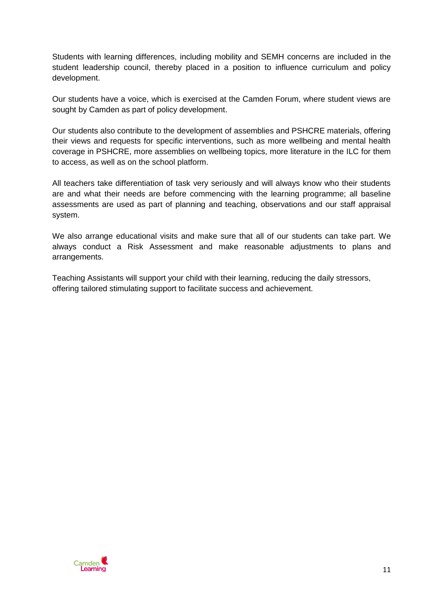Students with learning differences, including mobility and SEMH concerns are included in the student leadership council, thereby placed in a position to influence curriculum and policy development.

Our students have a voice, which is exercised at the Camden Forum, where student views are sought by Camden as part of policy development.

Our students also contribute to the development of assemblies and PSHCRE materials, offering their views and requests for specific interventions, such as more wellbeing and mental health coverage in PSHCRE, more assemblies on wellbeing topics, more literature in the ILC for them to access, as well as on the school platform.

All teachers take differentiation of task very seriously and will always know who their students are and what their needs are before commencing with the learning programme; all baseline assessments are used as part of planning and teaching, observations and our staff appraisal system.

We also arrange educational visits and make sure that all of our students can take part. We always conduct a Risk Assessment and make reasonable adjustments to plans and arrangements.

Teaching Assistants will support your child with their learning, reducing the daily stressors, offering tailored stimulating support to facilitate success and achievement.

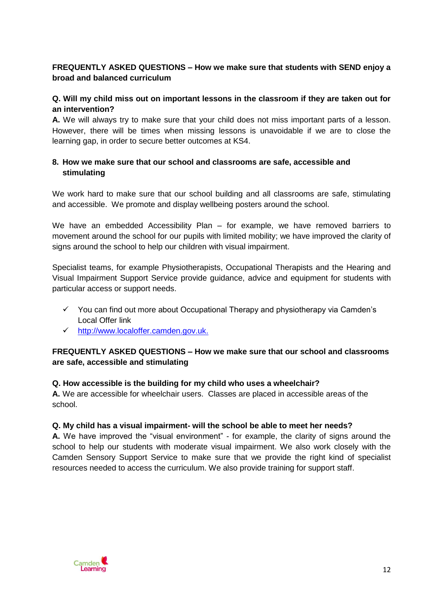# **FREQUENTLY ASKED QUESTIONS – How we make sure that students with SEND enjoy a broad and balanced curriculum**

# **Q. Will my child miss out on important lessons in the classroom if they are taken out for an intervention?**

**A.** We will always try to make sure that your child does not miss important parts of a lesson. However, there will be times when missing lessons is unavoidable if we are to close the learning gap, in order to secure better outcomes at KS4.

# **8. How we make sure that our school and classrooms are safe, accessible and stimulating**

We work hard to make sure that our school building and all classrooms are safe, stimulating and accessible. We promote and display wellbeing posters around the school.

We have an embedded Accessibility Plan – for example, we have removed barriers to movement around the school for our pupils with limited mobility; we have improved the clarity of signs around the school to help our children with visual impairment.

Specialist teams, for example Physiotherapists, Occupational Therapists and the Hearing and Visual Impairment Support Service provide guidance, advice and equipment for students with particular access or support needs.

- $\checkmark$  You can find out more about Occupational Therapy and physiotherapy via Camden's Local Offer link
- [http://www.localoffer.camden.gov.uk.](http://www.localoffer.camden.gov.uk/)

# **FREQUENTLY ASKED QUESTIONS – How we make sure that our school and classrooms are safe, accessible and stimulating**

## **Q. How accessible is the building for my child who uses a wheelchair?**

**A.** We are accessible for wheelchair users. Classes are placed in accessible areas of the school.

## **Q. My child has a visual impairment- will the school be able to meet her needs?**

**A.** We have improved the "visual environment" - for example, the clarity of signs around the school to help our students with moderate visual impairment. We also work closely with the Camden Sensory Support Service to make sure that we provide the right kind of specialist resources needed to access the curriculum. We also provide training for support staff.

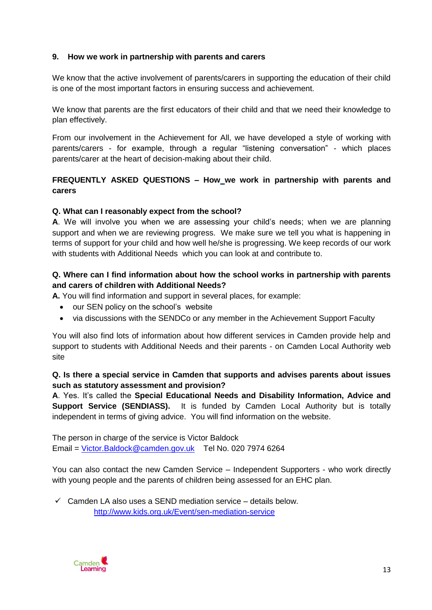## **9. How we work in partnership with parents and carers**

We know that the active involvement of parents/carers in supporting the education of their child is one of the most important factors in ensuring success and achievement.

We know that parents are the first educators of their child and that we need their knowledge to plan effectively.

From our involvement in the Achievement for All, we have developed a style of working with parents/carers - for example, through a regular "listening conversation" - which places parents/carer at the heart of decision-making about their child.

# **FREQUENTLY ASKED QUESTIONS – How we work in partnership with parents and carers**

#### **Q. What can I reasonably expect from the school?**

**A**. We will involve you when we are assessing your child's needs; when we are planning support and when we are reviewing progress. We make sure we tell you what is happening in terms of support for your child and how well he/she is progressing. We keep records of our work with students with Additional Needs which you can look at and contribute to.

## **Q. Where can I find information about how the school works in partnership with parents and carers of children with Additional Needs?**

**A.** You will find information and support in several places, for example:

- our SEN policy on the school's website
- via discussions with the SENDCo or any member in the Achievement Support Faculty

You will also find lots of information about how different services in Camden provide help and support to students with Additional Needs and their parents - on Camden Local Authority web site

## **Q. Is there a special service in Camden that supports and advises parents about issues such as statutory assessment and provision?**

**A**. Yes. It's called the **Special Educational Needs and Disability Information, Advice and Support Service (SENDIASS).** It is funded by Camden Local Authority but is totally independent in terms of giving advice. You will find information on the website.

The person in charge of the service is Victor Baldock Email = [Victor.Baldock@camden.gov.uk](mailto:Victor.Baldock@camden.gov.uk) Tel No. 020 7974 6264

You can also contact the new Camden Service – Independent Supporters - who work directly with young people and the parents of children being assessed for an EHC plan.

 $\checkmark$  Camden LA also uses a SEND mediation service – details below. <http://www.kids.org.uk/Event/sen-mediation-service>

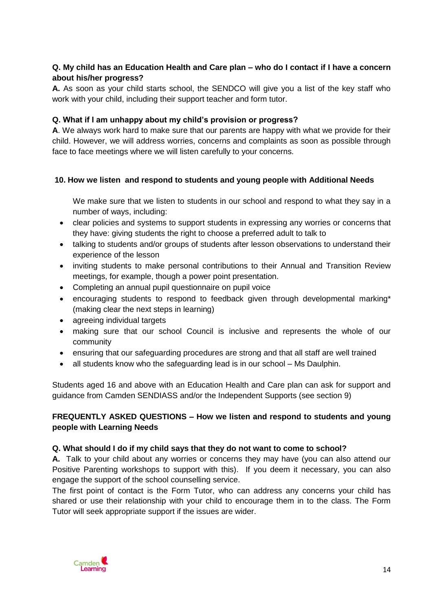## **Q. My child has an Education Health and Care plan – who do I contact if I have a concern about his/her progress?**

**A.** As soon as your child starts school, the SENDCO will give you a list of the key staff who work with your child, including their support teacher and form tutor.

## **Q. What if I am unhappy about my child's provision or progress?**

**A**. We always work hard to make sure that our parents are happy with what we provide for their child. However, we will address worries, concerns and complaints as soon as possible through face to face meetings where we will listen carefully to your concerns.

## **10. How we listen and respond to students and young people with Additional Needs**

We make sure that we listen to students in our school and respond to what they say in a number of ways, including:

- clear policies and systems to support students in expressing any worries or concerns that they have: giving students the right to choose a preferred adult to talk to
- talking to students and/or groups of students after lesson observations to understand their experience of the lesson
- inviting students to make personal contributions to their Annual and Transition Review meetings, for example, though a power point presentation.
- Completing an annual pupil questionnaire on pupil voice
- encouraging students to respond to feedback given through developmental marking\* (making clear the next steps in learning)
- agreeing individual targets
- making sure that our school Council is inclusive and represents the whole of our community
- ensuring that our safeguarding procedures are strong and that all staff are well trained
- all students know who the safeguarding lead is in our school Ms Daulphin.

Students aged 16 and above with an Education Health and Care plan can ask for support and guidance from Camden SENDIASS and/or the Independent Supports (see section 9)

## **FREQUENTLY ASKED QUESTIONS – How we listen and respond to students and young people with Learning Needs**

## **Q. What should I do if my child says that they do not want to come to school?**

**A.** Talk to your child about any worries or concerns they may have (you can also attend our Positive Parenting workshops to support with this). If you deem it necessary, you can also engage the support of the school counselling service.

The first point of contact is the Form Tutor, who can address any concerns your child has shared or use their relationship with your child to encourage them in to the class. The Form Tutor will seek appropriate support if the issues are wider.

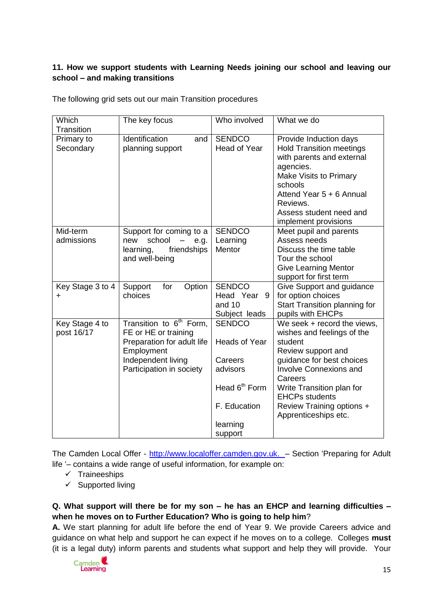# **11. How we support students with Learning Needs joining our school and leaving our school – and making transitions**

| Which            | The key focus                              | Who involved   | What we do                      |
|------------------|--------------------------------------------|----------------|---------------------------------|
| Transition       |                                            |                |                                 |
| Primary to       | Identification<br>and                      | <b>SENDCO</b>  | Provide Induction days          |
| Secondary        | planning support                           | Head of Year   | <b>Hold Transition meetings</b> |
|                  |                                            |                | with parents and external       |
|                  |                                            |                | agencies.                       |
|                  |                                            |                | Make Visits to Primary          |
|                  |                                            |                | schools                         |
|                  |                                            |                | Attend Year 5 + 6 Annual        |
|                  |                                            |                | Reviews.                        |
|                  |                                            |                | Assess student need and         |
|                  |                                            |                | implement provisions            |
| Mid-term         | Support for coming to a                    | <b>SENDCO</b>  | Meet pupil and parents          |
| admissions       | school<br>new<br>$\qquad \qquad -$<br>e.g. | Learning       | Assess needs                    |
|                  | friendships<br>learning,                   | Mentor         | Discuss the time table          |
|                  | and well-being                             |                | Tour the school                 |
|                  |                                            |                | <b>Give Learning Mentor</b>     |
|                  |                                            |                | support for first term          |
| Key Stage 3 to 4 | for<br>Option<br>Support                   | <b>SENDCO</b>  | Give Support and guidance       |
| $\ddot{}$        | choices                                    | Head Year<br>9 | for option choices              |
|                  |                                            | and 10         | Start Transition planning for   |
|                  |                                            | Subject leads  | pupils with EHCPs               |
| Key Stage 4 to   | Transition to 6 <sup>th</sup> Form,        | <b>SENDCO</b>  | We seek + record the views,     |

The following grid sets out our main Transition procedures

FE or HE or training Preparation for adult life

Employment Independent living Participation in society

The Camden Local Offer - [http://www.localoffer.camden.gov.uk.](http://www.localoffer.camden.gov.uk/) – Section 'Preparing for Adult life '– contains a wide range of useful information, for example on:

Heads of Year

wishes and feelings of the

Write Transition plan for

Review Training options + Apprenticeships etc.

EHCPs students

Review support and guidance for best choices Involve Connexions and

student

**Careers** 

Head  $6<sup>th</sup>$  Form

F. Education

learning support

**Careers** advisors

 $\checkmark$  Traineeships

post 16/17

 $\checkmark$  Supported living

## **Q. What support will there be for my son – he has an EHCP and learning difficulties – when he moves on to Further Education? Who is going to help him**?

**A.** We start planning for adult life before the end of Year 9. We provide Careers advice and guidance on what help and support he can expect if he moves on to a college. Colleges **must**  (it is a legal duty) inform parents and students what support and help they will provide. Your

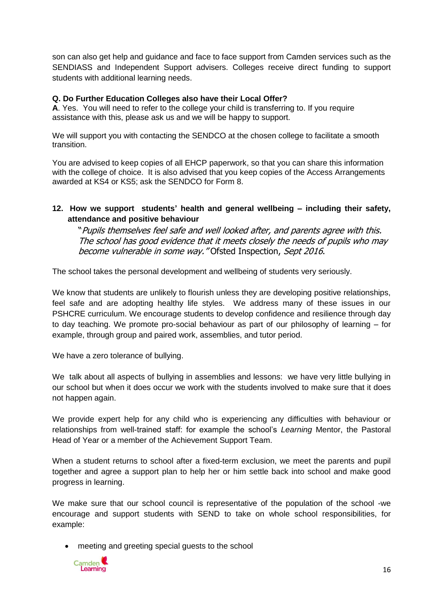son can also get help and guidance and face to face support from Camden services such as the SENDIASS and Independent Support advisers. Colleges receive direct funding to support students with additional learning needs.

#### **Q. Do Further Education Colleges also have their Local Offer?**

**A**. Yes. You will need to refer to the college your child is transferring to. If you require assistance with this, please ask us and we will be happy to support.

We will support you with contacting the SENDCO at the chosen college to facilitate a smooth transition.

You are advised to keep copies of all EHCP paperwork, so that you can share this information with the college of choice. It is also advised that you keep copies of the Access Arrangements awarded at KS4 or KS5; ask the SENDCO for Form 8.

#### **12. How we support students' health and general wellbeing – including their safety, attendance and positive behaviour**

"Pupils themselves feel safe and well looked after, and parents agree with this. The school has good evidence that it meets closely the needs of pupils who may become vulnerable in some way." Ofsted Inspection, Sept 2016.

The school takes the personal development and wellbeing of students very seriously.

We know that students are unlikely to flourish unless they are developing positive relationships, feel safe and are adopting healthy life styles. We address many of these issues in our PSHCRE curriculum. We encourage students to develop confidence and resilience through day to day teaching. We promote pro-social behaviour as part of our philosophy of learning – for example, through group and paired work, assemblies, and tutor period.

We have a zero tolerance of bullying.

We talk about all aspects of bullying in assemblies and lessons: we have very little bullying in our school but when it does occur we work with the students involved to make sure that it does not happen again.

We provide expert help for any child who is experiencing any difficulties with behaviour or relationships from well-trained staff: for example the school's *Learning* Mentor, the Pastoral Head of Year or a member of the Achievement Support Team.

When a student returns to school after a fixed-term exclusion, we meet the parents and pupil together and agree a support plan to help her or him settle back into school and make good progress in learning.

We make sure that our school council is representative of the population of the school -we encourage and support students with SEND to take on whole school responsibilities, for example:

meeting and greeting special guests to the school

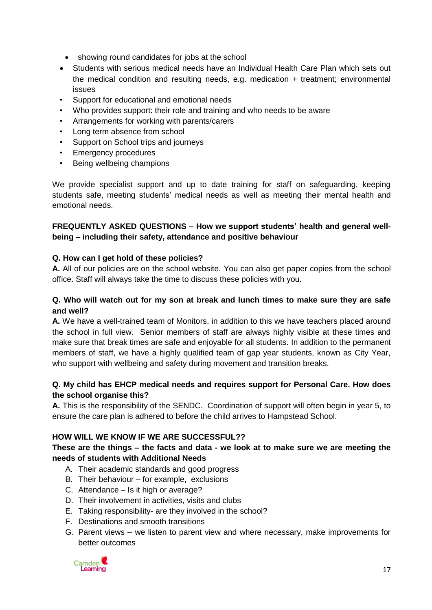- showing round candidates for jobs at the school
- Students with serious medical needs have an Individual Health Care Plan which sets out the medical condition and resulting needs, e.g. medication + treatment; environmental issues
- Support for educational and emotional needs
- Who provides support: their role and training and who needs to be aware
- Arrangements for working with parents/carers
- Long term absence from school
- Support on School trips and journeys
- Emergency procedures
- Being wellbeing champions

We provide specialist support and up to date training for staff on safeguarding, keeping students safe, meeting students' medical needs as well as meeting their mental health and emotional needs.

#### **FREQUENTLY ASKED QUESTIONS – How we support students' health and general wellbeing – including their safety, attendance and positive behaviour**

#### **Q. How can I get hold of these policies?**

**A.** All of our policies are on the school website. You can also get paper copies from the school office. Staff will always take the time to discuss these policies with you.

#### **Q. Who will watch out for my son at break and lunch times to make sure they are safe and well?**

**A.** We have a well-trained team of Monitors, in addition to this we have teachers placed around the school in full view. Senior members of staff are always highly visible at these times and make sure that break times are safe and enjoyable for all students. In addition to the permanent members of staff, we have a highly qualified team of gap year students, known as City Year, who support with wellbeing and safety during movement and transition breaks.

#### **Q. My child has EHCP medical needs and requires support for Personal Care. How does the school organise this?**

**A.** This is the responsibility of the SENDC. Coordination of support will often begin in year 5, to ensure the care plan is adhered to before the child arrives to Hampstead School.

## **HOW WILL WE KNOW IF WE ARE SUCCESSFUL??**

#### **These are the things – the facts and data - we look at to make sure we are meeting the needs of students with Additional Needs**

- A. Their academic standards and good progress
- B. Their behaviour for example, exclusions
- C. Attendance Is it high or average?
- D. Their involvement in activities, visits and clubs
- E. Taking responsibility- are they involved in the school?
- F. Destinations and smooth transitions
- G. Parent views we listen to parent view and where necessary, make improvements for better outcomes

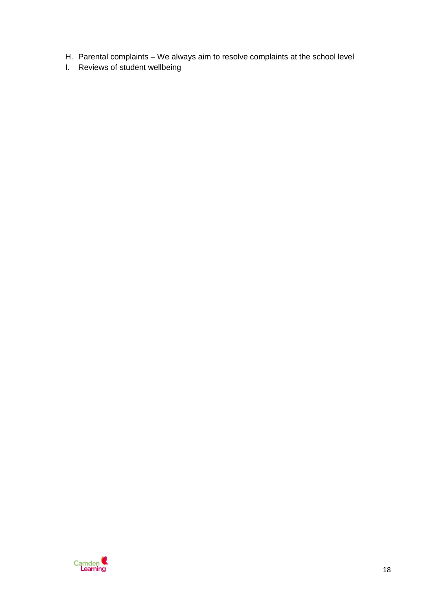- H. Parental complaints We always aim to resolve complaints at the school level
- I. Reviews of student wellbeing

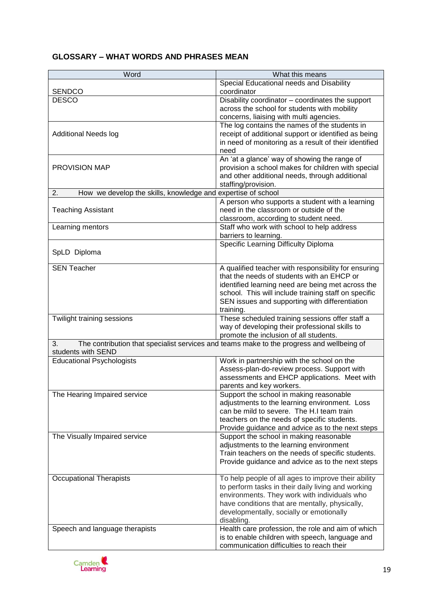# **GLOSSARY – WHAT WORDS AND PHRASES MEAN**

| Word                                                               | What this means                                                                            |
|--------------------------------------------------------------------|--------------------------------------------------------------------------------------------|
| <b>SENDCO</b>                                                      | Special Educational needs and Disability<br>coordinator                                    |
| <b>DESCO</b>                                                       | Disability coordinator - coordinates the support                                           |
|                                                                    | across the school for students with mobility                                               |
|                                                                    | concerns, liaising with multi agencies.                                                    |
|                                                                    | The log contains the names of the students in                                              |
| <b>Additional Needs log</b>                                        | receipt of additional support or identified as being                                       |
|                                                                    | in need of monitoring as a result of their identified                                      |
|                                                                    | need                                                                                       |
|                                                                    | An 'at a glance' way of showing the range of                                               |
| <b>PROVISION MAP</b>                                               | provision a school makes for children with special                                         |
|                                                                    | and other additional needs, through additional                                             |
|                                                                    | staffing/provision.                                                                        |
| How we develop the skills, knowledge and expertise of school<br>2. |                                                                                            |
| <b>Teaching Assistant</b>                                          | A person who supports a student with a learning<br>need in the classroom or outside of the |
|                                                                    | classroom, according to student need.                                                      |
| Learning mentors                                                   | Staff who work with school to help address                                                 |
|                                                                    | barriers to learning.                                                                      |
|                                                                    | Specific Learning Difficulty Diploma                                                       |
| SpLD Diploma                                                       |                                                                                            |
| <b>SEN Teacher</b>                                                 | A qualified teacher with responsibility for ensuring                                       |
|                                                                    | that the needs of students with an EHCP or                                                 |
|                                                                    | identified learning need are being met across the                                          |
|                                                                    | school. This will include training staff on specific                                       |
|                                                                    | SEN issues and supporting with differentiation                                             |
|                                                                    | training.                                                                                  |
| Twilight training sessions                                         | These scheduled training sessions offer staff a                                            |
|                                                                    | way of developing their professional skills to                                             |
|                                                                    | promote the inclusion of all students.                                                     |
| 3.<br>students with SEND                                           | The contribution that specialist services and teams make to the progress and wellbeing of  |
| <b>Educational Psychologists</b>                                   | Work in partnership with the school on the                                                 |
|                                                                    | Assess-plan-do-review process. Support with                                                |
|                                                                    | assessments and EHCP applications. Meet with                                               |
|                                                                    | parents and key workers.                                                                   |
| The Hearing Impaired service                                       | Support the school in making reasonable                                                    |
|                                                                    | adjustments to the learning environment. Loss<br>can be mild to severe. The H.I team train |
|                                                                    | teachers on the needs of specific students.                                                |
|                                                                    | Provide guidance and advice as to the next steps                                           |
| The Visually Impaired service                                      | Support the school in making reasonable                                                    |
|                                                                    | adjustments to the learning environment                                                    |
|                                                                    | Train teachers on the needs of specific students.                                          |
|                                                                    | Provide guidance and advice as to the next steps                                           |
|                                                                    |                                                                                            |
| <b>Occupational Therapists</b>                                     | To help people of all ages to improve their ability                                        |
|                                                                    | to perform tasks in their daily living and working                                         |
|                                                                    | environments. They work with individuals who                                               |
|                                                                    | have conditions that are mentally, physically,                                             |
|                                                                    | developmentally, socially or emotionally<br>disabling.                                     |
| Speech and language therapists                                     | Health care profession, the role and aim of which                                          |
|                                                                    | is to enable children with speech, language and                                            |
|                                                                    | communication difficulties to reach their                                                  |